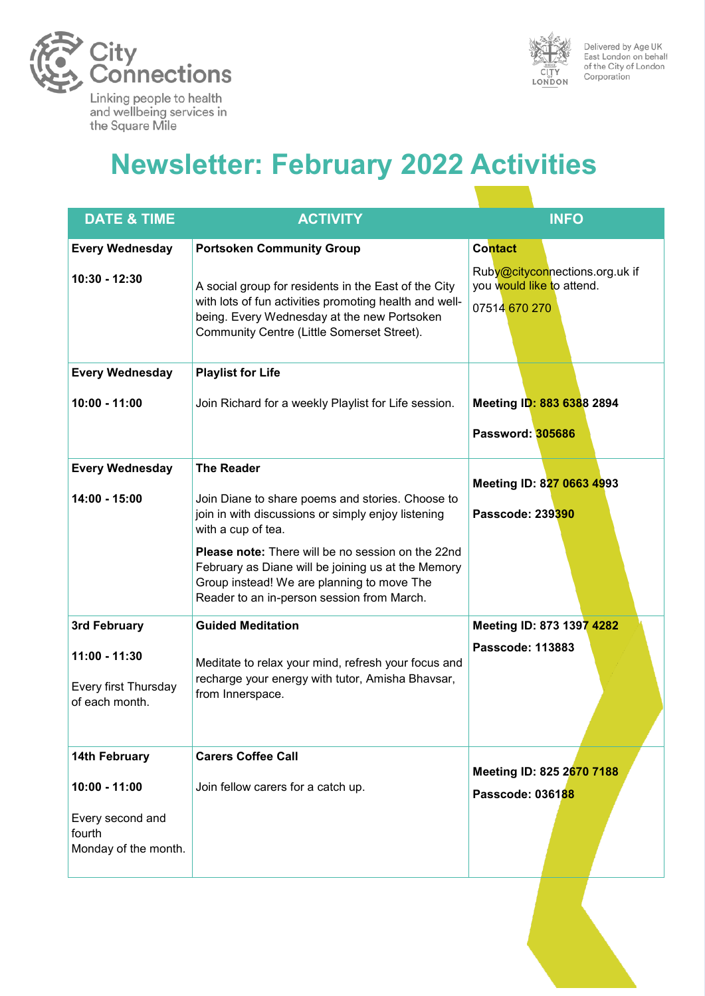



Delivered by Age UK<br>East London on behalf of the City of London Corporation

# **Newsletter: February 2022 Activities**

| <b>DATE &amp; TIME</b>                                                | <b>ACTIVITY</b>                                                                                                                                                                                             | <b>INFO</b>                                                                  |
|-----------------------------------------------------------------------|-------------------------------------------------------------------------------------------------------------------------------------------------------------------------------------------------------------|------------------------------------------------------------------------------|
| <b>Every Wednesday</b>                                                | <b>Portsoken Community Group</b>                                                                                                                                                                            | <b>Contact</b>                                                               |
| 10:30 - 12:30                                                         | A social group for residents in the East of the City<br>with lots of fun activities promoting health and well-<br>being. Every Wednesday at the new Portsoken<br>Community Centre (Little Somerset Street). | Ruby@cityconnections.org.uk if<br>you would like to attend.<br>07514 670 270 |
| <b>Every Wednesday</b>                                                | <b>Playlist for Life</b>                                                                                                                                                                                    |                                                                              |
| $10:00 - 11:00$                                                       | Join Richard for a weekly Playlist for Life session.                                                                                                                                                        | Meeting ID: 883 6388 2894<br>Password: 305686                                |
| <b>Every Wednesday</b>                                                | <b>The Reader</b>                                                                                                                                                                                           | Meeting ID: 827 0663 4993                                                    |
| 14:00 - 15:00                                                         | Join Diane to share poems and stories. Choose to<br>join in with discussions or simply enjoy listening<br>with a cup of tea.                                                                                | Passcode: 239390                                                             |
|                                                                       | <b>Please note:</b> There will be no session on the 22nd<br>February as Diane will be joining us at the Memory<br>Group instead! We are planning to move The<br>Reader to an in-person session from March.  |                                                                              |
| 3rd February                                                          | <b>Guided Meditation</b>                                                                                                                                                                                    | Meeting ID: 873 1397 4282                                                    |
| $11:00 - 11:30$<br>Every first Thursday<br>of each month.             | Meditate to relax your mind, refresh your focus and<br>recharge your energy with tutor, Amisha Bhavsar,<br>from Innerspace.                                                                                 | Passcode: 113883                                                             |
| 14th February                                                         | <b>Carers Coffee Call</b>                                                                                                                                                                                   | Meeting ID: 825 2670 7188                                                    |
| $10:00 - 11:00$<br>Every second and<br>fourth<br>Monday of the month. | Join fellow carers for a catch up.                                                                                                                                                                          | Passcode: 036188                                                             |
|                                                                       |                                                                                                                                                                                                             |                                                                              |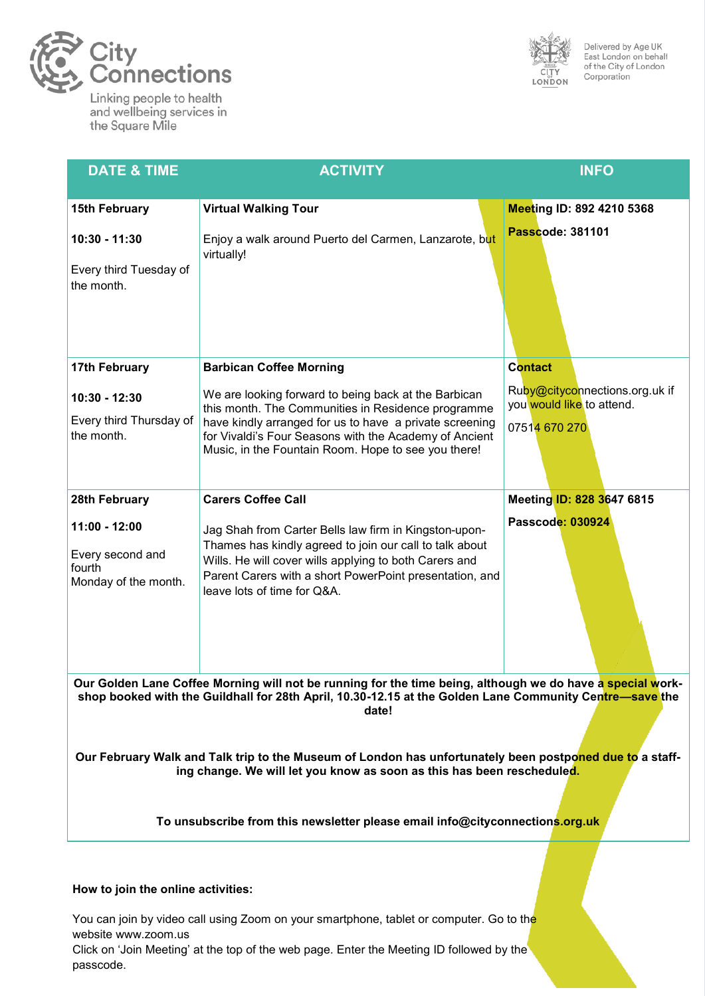

Linking people to health and wellbeing services in the Square Mile



Delivered by Age UK<br>East London on behalf<br>of the City of London Corporation

| <b>DATE &amp; TIME</b>                                                                                                                                                                                                                                             | <b>ACTIVITY</b>                                                                                                                                                                                                                                                      | <b>INFO</b>                                                 |  |
|--------------------------------------------------------------------------------------------------------------------------------------------------------------------------------------------------------------------------------------------------------------------|----------------------------------------------------------------------------------------------------------------------------------------------------------------------------------------------------------------------------------------------------------------------|-------------------------------------------------------------|--|
|                                                                                                                                                                                                                                                                    |                                                                                                                                                                                                                                                                      |                                                             |  |
| <b>15th February</b>                                                                                                                                                                                                                                               | <b>Virtual Walking Tour</b>                                                                                                                                                                                                                                          | Meeting ID: 892 4210 5368                                   |  |
| 10:30 - 11:30                                                                                                                                                                                                                                                      | Enjoy a walk around Puerto del Carmen, Lanzarote, but<br>virtually!                                                                                                                                                                                                  | Passcode: 381101                                            |  |
| Every third Tuesday of<br>the month.                                                                                                                                                                                                                               |                                                                                                                                                                                                                                                                      |                                                             |  |
| <b>17th February</b>                                                                                                                                                                                                                                               | <b>Barbican Coffee Morning</b>                                                                                                                                                                                                                                       | <b>Contact</b>                                              |  |
| 10:30 - 12:30                                                                                                                                                                                                                                                      | We are looking forward to being back at the Barbican<br>this month. The Communities in Residence programme                                                                                                                                                           | Ruby@cityconnections.org.uk if<br>you would like to attend. |  |
| Every third Thursday of<br>the month.                                                                                                                                                                                                                              | have kindly arranged for us to have a private screening<br>for Vivaldi's Four Seasons with the Academy of Ancient<br>Music, in the Fountain Room. Hope to see you there!                                                                                             | 07514 670 270                                               |  |
| 28th February                                                                                                                                                                                                                                                      | <b>Carers Coffee Call</b>                                                                                                                                                                                                                                            | Meeting ID: 828 3647 6815                                   |  |
| 11:00 - 12:00<br>Every second and<br>fourth<br>Monday of the month.                                                                                                                                                                                                | Jag Shah from Carter Bells law firm in Kingston-upon-<br>Thames has kindly agreed to join our call to talk about<br>Wills. He will cover wills applying to both Carers and<br>Parent Carers with a short PowerPoint presentation, and<br>leave lots of time for Q&A. | Passcode: 030924                                            |  |
| Our Golden Lane Coffee Morning will not be running for the time being, although we do have a special work-<br>shop booked with the Guildhall for 28th April, 10.30-12.15 at the Golden Lane Community Centre-save the<br>date!                                     |                                                                                                                                                                                                                                                                      |                                                             |  |
| Our February Walk and Talk trip to the Museum of London has unfortunately been postponed due to a staff-<br>ing change. We will let you know as soon as this has been rescheduled.<br>To unsubscribe from this newsletter please email info@cityconnections.org.uk |                                                                                                                                                                                                                                                                      |                                                             |  |
|                                                                                                                                                                                                                                                                    |                                                                                                                                                                                                                                                                      |                                                             |  |

#### **How to join the online activities:**

You can join by video call using Zoom on your smartphone, tablet or computer. Go to the website www.zoom.us

Click on 'Join Meeting' at the top of the web page. Enter the Meeting ID followed by the passcode.